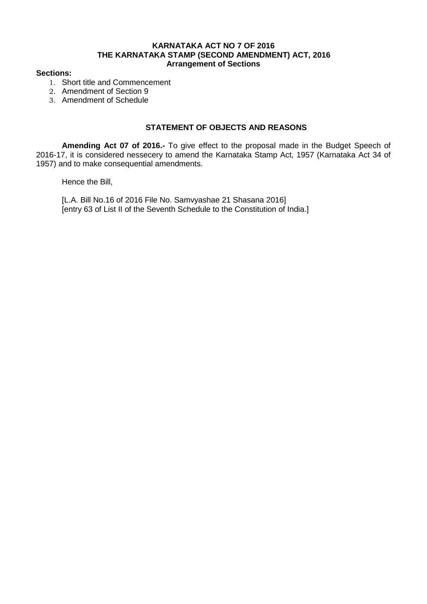### **KARNATAKA ACT NO 7 OF 2016 THE KARNATAKA STAMP (SECOND AMENDMENT) ACT, 2016 Arrangement of Sections**

#### **Sections:**

- 1. Short title and Commencement
- 2. Amendment of Section 9
- 3. Amendment of Schedule

## **STATEMENT OF OBJECTS AND REASONS**

**Amending Act 07 of 2016.-** To give effect to the proposal made in the Budget Speech of 2016-17, it is considered nessecery to amend the Karnataka Stamp Act, 1957 (Karnataka Act 34 of 1957) and to make consequential amendments.

Hence the Bill,

[L.A. Bill No.16 of 2016 File No. Samvyashae 21 Shasana 2016] [entry 63 of List II of the Seventh Schedule to the Constitution of India.]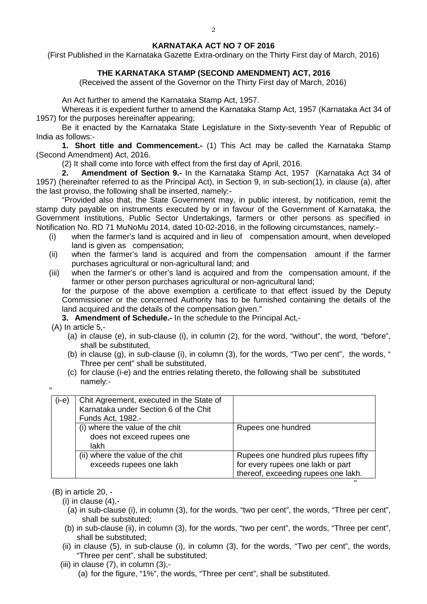### **KARNATAKA ACT NO 7 OF 2016**

(First Published in the Karnataka Gazette Extra-ordinary on the Thirty First day of March, 2016)

# **THE KARNATAKA STAMP (SECOND AMENDMENT) ACT, 2016**

(Received the assent of the Governor on the Thirty First day of March, 2016)

An Act further to amend the Karnataka Stamp Act, 1957.

Whereas it is expedient further to amend the Karnataka Stamp Act, 1957 (Karnataka Act 34 of 1957) for the purposes hereinafter appearing;

Be it enacted by the Karnataka State Legislature in the Sixty-seventh Year of Republic of India as follows:-

**1. Short title and Commencement.-** (1) This Act may be called the Karnataka Stamp (Second Amendment) Act, 2016.

(2) It shall come into force with effect from the first day of April, 2016.<br>2. **Amendment of Section 9.-** In the Karnataka Stamp Act. 195

**2. Amendment of Section 9.-** In the Karnataka Stamp Act, 1957 (Karnataka Act 34 of 1957) (hereinafter referred to as the Principal Act), in Section 9, in sub-section(1), in clause (a), after the last proviso, the following shall be inserted, namely:-

"Provided also that, the State Government may, in public interest, by notification, remit the stamp duty payable on instruments executed by or in favour of the Government of Karnataka, the Government Institutions, Public Sector Undertakings, farmers or other persons as specified in Notification No. RD 71 MuNoMu 2014, dated 10-02-2016, in the following circumstances, namely:-

- (i) when the farmer's land is acquired and in lieu of compensation amount, when developed land is given as compensation;
- (ii) when the farmer's land is acquired and from the compensation amount if the farmer purchases agricultural or non-agricultural land; and
- (iii) when the farmer's or other's land is acquired and from the compensation amount, if the farmer or other person purchases agricultural or non-agricultural land;

for the purpose of the above exemption a certificate to that effect issued by the Deputy Commissioner or the concerned Authority has to be furnished containing the details of the land acquired and the details of the compensation given."

**3. Amendment of Schedule.-** In the schedule to the Principal Act,-

(A) In article 5,-

- (a) in clause (e), in sub-clause (i), in column (2), for the word, "without", the word, "before", shall be substituted,
- (b) in clause (g), in sub-clause (i), in column (3), for the words, "Two per cent", the words, " Three per cent" shall be substituted,
- (c) for clause (i-e) and the entries relating thereto, the following shall be substituted namely:-

| $(i-e)$ | Chit Agreement, executed in the State of<br>Karnataka under Section 6 of the Chit<br>Funds Act, 1982.- |                                                                                                                  |
|---------|--------------------------------------------------------------------------------------------------------|------------------------------------------------------------------------------------------------------------------|
|         | (i) where the value of the chit<br>does not exceed rupees one<br>lakh                                  | Rupees one hundred                                                                                               |
|         | (ii) where the value of the chit<br>exceeds rupees one lakh                                            | Rupees one hundred plus rupees fifty<br>for every rupees one lakh or part<br>thereof, exceeding rupees one lakh. |

(B) in article 20, -

(i) in clause  $(4)$ .-

- (a) in sub-clause (i), in column (3), for the words, "two per cent", the words, "Three per cent", shall be substituted;
- (b) in sub-clause (ii), in column (3), for the words, "two per cent", the words, "Three per cent", shall be substituted;
- (ii) in clause (5), in sub-clause (i), in column (3), for the words, "Two per cent", the words, "Three per cent", shall be substituted;
- (iii) in clause  $(7)$ , in column  $(3)$ ,-(a) for the figure, "1%", the words, "Three per cent", shall be substituted.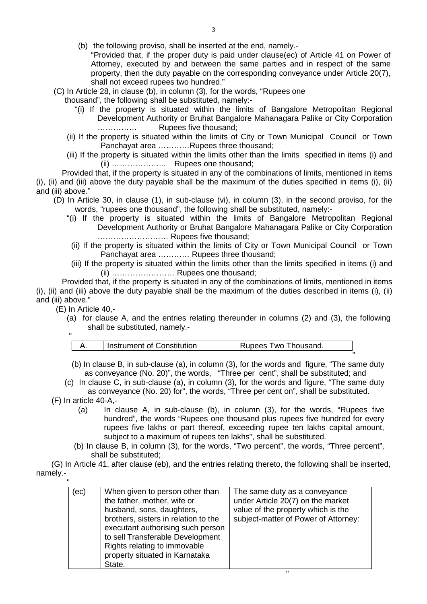- (b) the following proviso, shall be inserted at the end, namely.-
	- "Provided that, if the proper duty is paid under clause(ec) of Article 41 on Power of Attorney, executed by and between the same parties and in respect of the same property, then the duty payable on the corresponding conveyance under Article 20(7), shall not exceed rupees two hundred."
- (C) In Article 28, in clause (b), in column (3), for the words, "Rupees one
	- thousand", the following shall be substituted, namely:-
		- "(i) If the property is situated within the limits of Bangalore Metropolitan Regional Development Authority or Bruhat Bangalore Mahanagara Palike or City Corporation …………… Rupees five thousand;
		- (ii) If the property is situated within the limits of City or Town Municipal Council or Town Panchayat area …………Rupees three thousand;
	- (iii) If the property is situated within the limits other than the limits specified in items (i) and (ii) ………………... Rupees one thousand;

Provided that, if the property is situated in any of the combinations of limits, mentioned in items (i), (ii) and (iii) above the duty payable shall be the maximum of the duties specified in items (i), (ii) and (iii) above."

- (D) In Article 30, in clause (1), in sub-clause (vi), in column (3), in the second proviso, for the words, "rupees one thousand", the following shall be substituted, namely:-
	- "(i) If the property is situated within the limits of Bangalore Metropolitan Regional Development Authority or Bruhat Bangalore Mahanagara Palike or City Corporation ……………………… Rupees five thousand;
	- (ii) If the property is situated within the limits of City or Town Municipal Council or Town Panchayat area ………… Rupees three thousand;
	- (iii) If the property is situated within the limits other than the limits specified in items (i) and (ii) …………………… Rupees one thousand;

Provided that, if the property is situated in any of the combinations of limits, mentioned in items (i), (ii) and (iii) above the duty payable shall be the maximum of the duties described in items (i), (ii) and (iii) above."

(E) In Article 40,-

 (a) for clause A, and the entries relating thereunder in columns (2) and (3), the following shall be substituted, namely.-

| Instrument of Constitution | Rupees Two Thousand. |
|----------------------------|----------------------|
|                            |                      |

(b) In clause B, in sub-clause (a), in column (3), for the words and figure, "The same duty as conveyance (No. 20)", the words, "Three per cent", shall be substituted; and

 (c) In clause C, in sub-clause (a), in column (3), for the words and figure, "The same duty as conveyance (No. 20) for", the words, "Three per cent on", shall be substituted.

(F) In article 40-A,-

- (a) In clause A, in sub-clause (b), in column (3), for the words, "Rupees five hundred", the words "Rupees one thousand plus rupees five hundred for every rupees five lakhs or part thereof, exceeding rupee ten lakhs capital amount, subject to a maximum of rupees ten lakhs", shall be substituted.
- (b) In clause B, in column (3), for the words, "Two percent", the words, "Three percent", shall be substituted;

 (G) In Article 41, after clause (eb), and the entries relating thereto, the following shall be inserted, namely.-

| (ec) | When given to person other than<br>the father, mother, wife or<br>husband, sons, daughters,<br>brothers, sisters in relation to the<br>executant authorising such person<br>to sell Transferable Development<br>Rights relating to immovable<br>property situated in Karnataka<br>State. | The same duty as a conveyance<br>under Article 20(7) on the market<br>value of the property which is the<br>subject-matter of Power of Attorney: |
|------|------------------------------------------------------------------------------------------------------------------------------------------------------------------------------------------------------------------------------------------------------------------------------------------|--------------------------------------------------------------------------------------------------------------------------------------------------|
|------|------------------------------------------------------------------------------------------------------------------------------------------------------------------------------------------------------------------------------------------------------------------------------------------|--------------------------------------------------------------------------------------------------------------------------------------------------|

" "The contract of the contract of the contract of the contract of the contract of the contract of the contract of